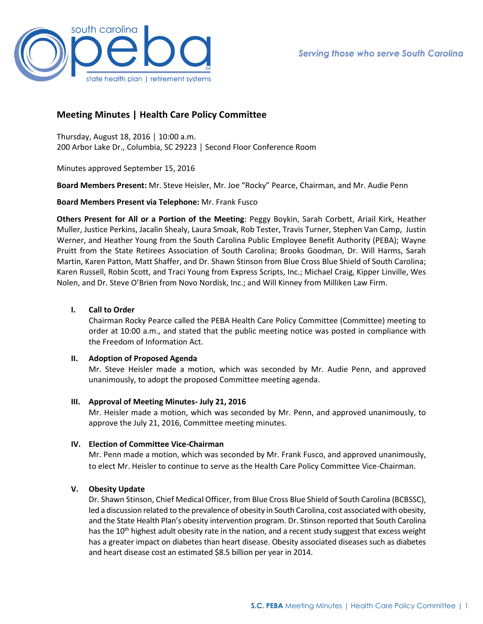

# **Meeting Minutes | Health Care Policy Committee**

Thursday, August 18, 2016 │ 10:00 a.m. 200 Arbor Lake Dr., Columbia, SC 29223 │ Second Floor Conference Room

Minutes approved September 15, 2016

**Board Members Present:** Mr. Steve Heisler, Mr. Joe "Rocky" Pearce, Chairman, and Mr. Audie Penn

**Board Members Present via Telephone:** Mr. Frank Fusco

**Others Present for All or a Portion of the Meeting**: Peggy Boykin, Sarah Corbett, Ariail Kirk, Heather Muller, Justice Perkins, Jacalin Shealy, Laura Smoak, Rob Tester, Travis Turner, Stephen Van Camp, Justin Werner, and Heather Young from the South Carolina Public Employee Benefit Authority (PEBA); Wayne Pruitt from the State Retirees Association of South Carolina; Brooks Goodman, Dr. Will Harms, Sarah Martin, Karen Patton, Matt Shaffer, and Dr. Shawn Stinson from Blue Cross Blue Shield of South Carolina; Karen Russell, Robin Scott, and Traci Young from Express Scripts, Inc.; Michael Craig, Kipper Linville, Wes Nolen, and Dr. Steve O'Brien from Novo Nordisk, Inc.; and Will Kinney from Milliken Law Firm.

### **I. Call to Order**

Chairman Rocky Pearce called the PEBA Health Care Policy Committee (Committee) meeting to order at 10:00 a.m., and stated that the public meeting notice was posted in compliance with the Freedom of Information Act.

### **II. Adoption of Proposed Agenda**

Mr. Steve Heisler made a motion, which was seconded by Mr. Audie Penn, and approved unanimously, to adopt the proposed Committee meeting agenda.

### **III. Approval of Meeting Minutes- July 21, 2016**

Mr. Heisler made a motion, which was seconded by Mr. Penn, and approved unanimously, to approve the July 21, 2016, Committee meeting minutes.

# **IV. Election of Committee Vice-Chairman**

Mr. Penn made a motion, which was seconded by Mr. Frank Fusco, and approved unanimously, to elect Mr. Heisler to continue to serve as the Health Care Policy Committee Vice-Chairman.

# **V. Obesity Update**

Dr. Shawn Stinson, Chief Medical Officer, from Blue Cross Blue Shield of South Carolina (BCBSSC), led a discussion related to the prevalence of obesity in South Carolina, cost associated with obesity, and the State Health Plan's obesity intervention program. Dr. Stinson reported that South Carolina has the  $10<sup>th</sup>$  highest adult obesity rate in the nation, and a recent study suggest that excess weight has a greater impact on diabetes than heart disease. Obesity associated diseases such as diabetes and heart disease cost an estimated \$8.5 billion per year in 2014.